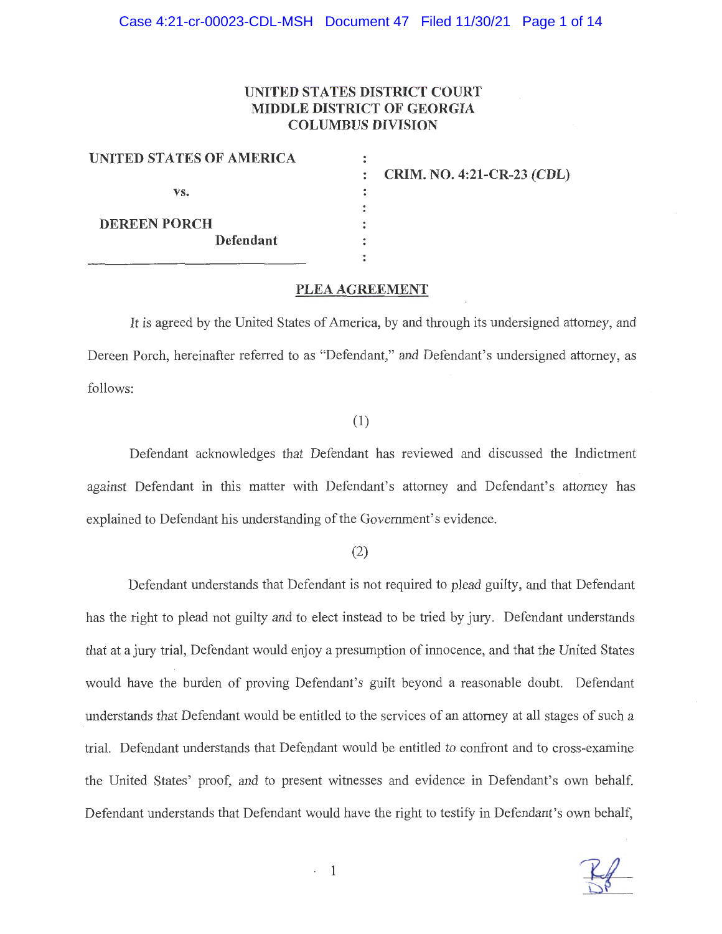# **UNITED STATES DISTRICT COURT MIDDLE DISTRICT OF GEORGIA** . **COLUMBUS DIVISION**

| UNITED STATES OF AMERICA |  |
|--------------------------|--|
|                          |  |
| VS.                      |  |
|                          |  |
| <b>DEREEN PORCH</b>      |  |
| Defendant                |  |
|                          |  |

**CRIM. NO. 4:21-CR-23 (CDL)** 

#### **PLEA AGREEMENT**

 $\ddot{\phantom{0}}$  $\ddot{\cdot}$  $\ddot{\cdot}$ 

It is agreed by the United States of America, by and through its undersigned attorney, and ) Dereen Porch, hereinafter referred to as "Defendant," and Defendant's undersigned attorney, as follows:

(1)

Defendant acknowledges that Defendant has reviewed and discussed the Indictment against Defendant in this matter with Defendant's attorney and Defendant's attorney has explained to Defendant his understanding of the Government's evidence.

(2)

Defendant understands that Defendant is not required to plead guilty, and that Defendant has the right to plead not guilty and to elect instead to be tried by jury. Defendant understands that at a jury trial, Defendant would enjoy a presumption of innocence, and that the United States would have the burden of proving Defendant's guilt beyond a reasonable doubt. Defendant understands that Defendant would be entitled to the services of an attorney at all stages of such a trial. Defendant understands that Defendant would be entitled to confront and to cross-examine the United States' proof, and to present witnesses and evidence in Defendant's own behalf. Defendant understands that Defendant would have the right to testify in Defendant's own behalf,

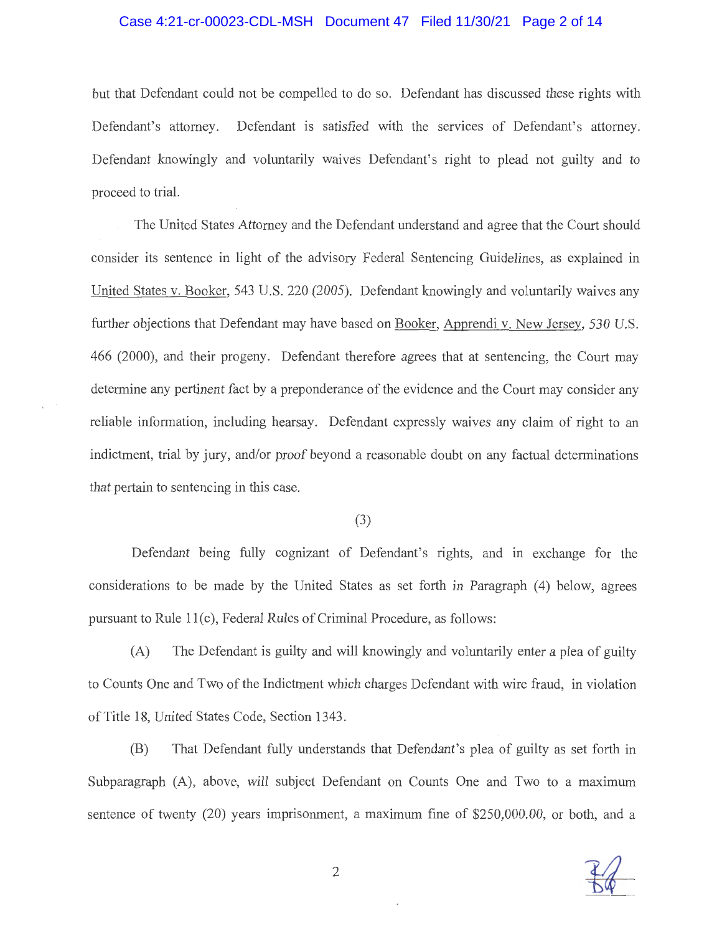### Case 4:21-cr-00023-CDL-MSH Document 47 Filed 11/30/21 Page 2 of 14

but that Defendant could not be compelled to do so. Defendant has discussed these rights with Defendant's attorney. Defendant is satisfied with the services of Defendant's attorney. Defendant knowingly and voluntarily waives Defendant's right to plead not guilty and to proceed to trial.

The United States Attorney and the Defendant understand and agree that the Court should consider its sentence in light of the advisory Federal Sentencing Guidelines, as explained in United States v. Booker, 543 U.S. 220 (2005). Defendant knowingly and voluntarily waives any further objections that Defendant may have based on Booker, Apprendi v. New Jersey, 530 U.S. 466 (2000), and their progeny. Defendant therefore agrees that at sentencing, the Court may determine any pertinent fact by a preponderance of the evidence and the Court may consider any reliable information, including hearsay. Defendant expressly waives any claim of right to an indictment, trial by jury, and/or proof beyond a reasonable doubt on any factual determinations that pertain to sentencing in this case.

#### (3)

Defendant being fully cognizant of Defendant's rights, and in exchange for the considerations to be made by the United States as set forth in Paragraph (4) below, agrees pursuant to Rule 11(c), Federal Rules of Criminal Procedure, as follows:

(A) The Defendant is guilty and will knowingly and voluntarily enter a plea of guilty to Counts One and Two of the Indictment which charges Defendant with wire fraud, in violation of Title 18, United States Code, Section 1343.

(B) That Defendant fully understands that Defendant's plea of guilty as set forth in Subparagraph (A), above, will subject Defendant on Counts One and Two to a maximum sentence of twenty (20) years imprisonment, a maximum fine of \$250,000.00, or both, and a



2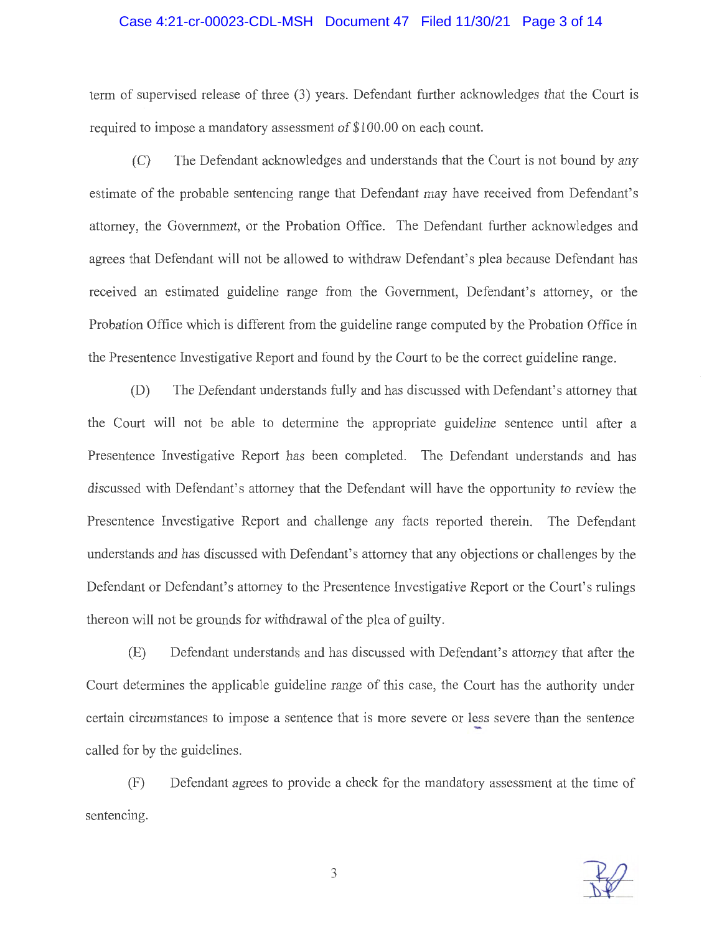#### Case 4:21-cr-00023-CDL-MSH Document 47 Filed 11/30/21 Page 3 of 14

term of supervised release of three (3) years. Defendant further acknowledges that the Court is required to impose a mandatory assessment of \$100.00 on each count.

(C) The Defendant acknowledges and understands that the Court is not bound by any estimate of the probable sentencing range that Defendant may have received from Defendant's attorney, the Government, or the Probation Office. The Defendant further acknowledges and agrees that Defendant will not be allowed to withdraw Defendant's plea because Defendant has received an estimated guideline range from the Government, Defendant's attorney, or the Probation Office which is different from the guideline range computed by the Probation Office in the Presentence Investigative Report and found by the Court to be the correct guideline range.

(D) The Defendant understands fully and has discussed with Defendant's attorney that the Court will not be able to determine the appropriate guideline sentence until after a Presentence Investigative Report has been completed. The Defendant understands and has discussed with Defendant's attorney that the Defendant will have the opportunity to review the Presentence Investigative Report and challenge any facts reported therein. The Defendant understands and has discussed with Defendant's attorney that any objections or challenges by the Defendant or Defendant's attorney to the Presentence Investigative Report or the Court's rulings thereon will not be grounds for withdrawal of the plea of guilty.

(E) Defendant understands and has discussed with Defendant's attorney that after the Court determines the applicable guideline range of this case, the Court has the authority under certain circumstances to impose a sentence that is more severe or less severe than the sentence called for by the guidelines.

(F) Defendant agrees to provide a check for the mandatory assessment at the time of sentencing.



3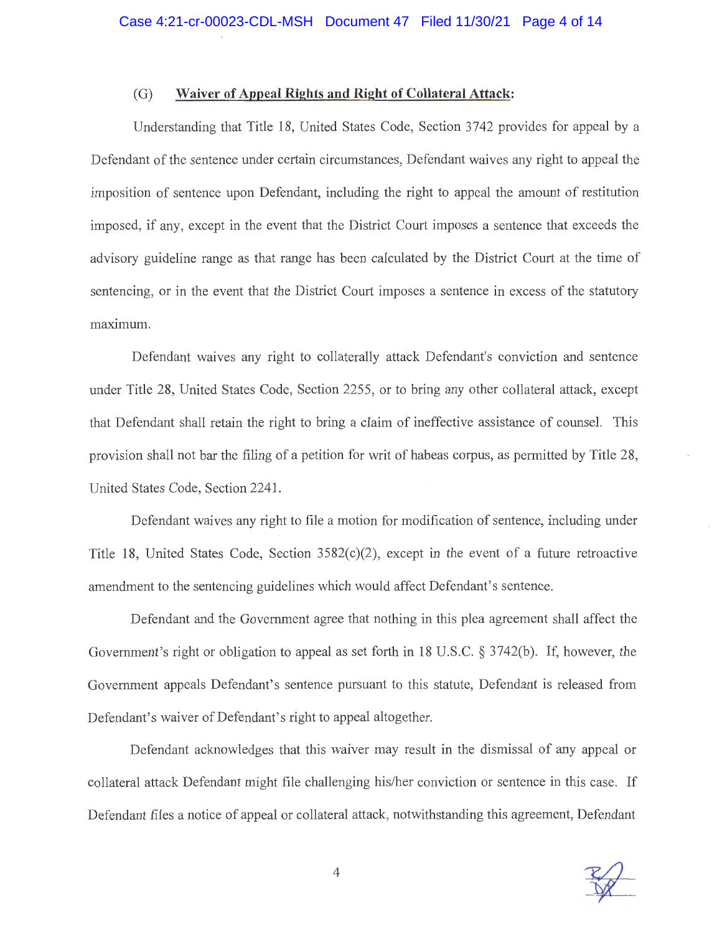## (G) **Waiver of Appeal Rights and Right of Collateral Attack:**

Understanding that Title 18, United States Code, Section 3742 provides for appeal by a Defendant of the sentence under certain circumstances, Defendant waives any right to appeal the imposition of sentence upon Defendant, including the right to appeal the amount of restitution imposed, if any, except in the event that the District Court imposes a sentence that exceeds the advisory guideline range as that range has been calculated by the District Court at the time of sentencing, or in the event that the District Court imposes a sentence in excess of the statutory maximum.

Defendant waives any right to collaterally attack Defendant's conviction and sentence under Title 28, United States Code, Section 2255, or to bring any other collateral attack, except that Defendant shall retain the right to bring a claim of ineffective assistance of counsel. This provision shall not bar the filing of a petition for writ of habeas corpus, as permitted by Title 28, United States Code, Section 2241.

Defendant waives any right to file a motion for modification of sentence, including under Title 18, United States Code, Section 3582(c)(2), except in the event of a future retroactive amendment to the sentencing guidelines which would affect Defendant's sentence.

Defendant and the Government agree that nothing in this plea agreement shall affect the Government's right or obligation to appeal as set forth in 18 U.S.C.  $\S 3742(b)$ . If, however, the Government appeals Defendant's sentence pursuant to this statute, Defendant is released from Defendant's waiver of Defendant's right to appeal altogether.

Defendant acknowledges that this waiver may result in the dismissal of any appeal or collateral attack Defendant might file challenging his/her conviction or sentence in this case. If Defendant files a notice of appeal or collateral attack, notwithstanding this agreement, Defendant

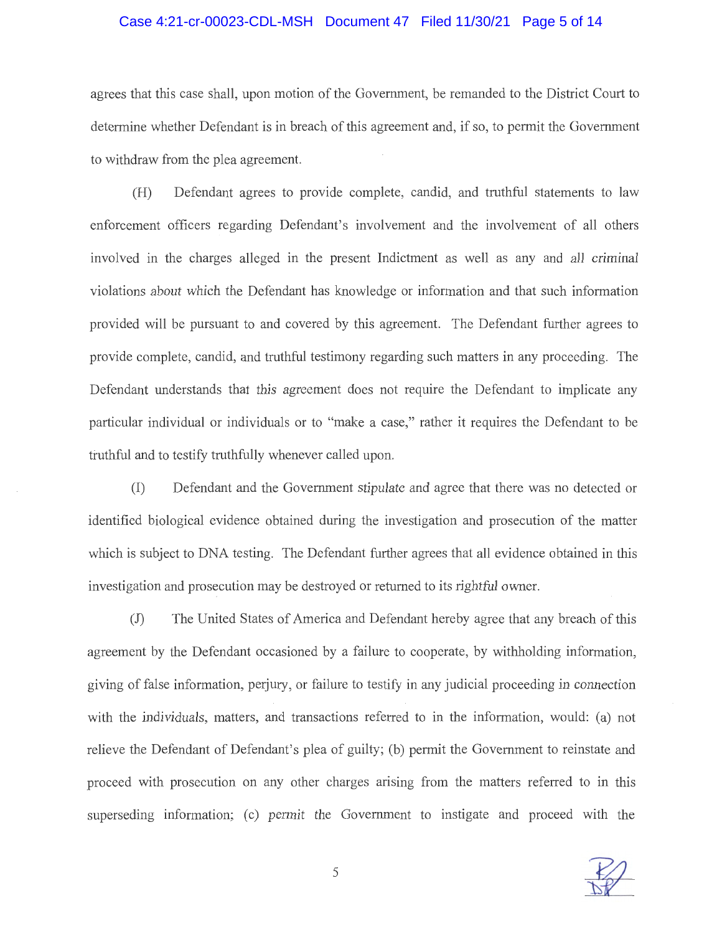#### Case 4:21-cr-00023-CDL-MSH Document 47 Filed 11/30/21 Page 5 of 14

agrees that this case shall, upon motion of the Government, be remanded to the District Court to determine whether Defendant is in breach of this agreement and, if so, to permit the Government to withdraw from the plea agreement.

(H) Defendant agrees to provide complete, candid, and truthful statements to law enforcement officers regarding Defendant's involvement and the involvement of all others involved in the charges alleged in the present Indictment as well as any and all criminal violations about which the Defendant has knowledge or information and that such information provided will be pursuant to and covered by this agreement. The Defendant further agrees to provide complete, candid, and truthful testimony regarding such matters in any proceeding. The Defendant understands that this agreement does not require the Defendant to implicate any particular individual or individuals or to "make a case," rather it requires the Defendant to be truthful and to testify truthfully whenever called upon.

(I) Defendant and the Government stipulate and agree that there was no detected or identified biological evidence obtained during the investigation and prosecution of the matter which is subject to DNA testing. The Defendant further agrees that all evidence obtained in this investigation and prosecution may be destroyed or returned to its rightful owner.

(J) The United States of America and Defendant hereby agree that any breach of this agreement by the Defendant occasioned by a failure to cooperate, by withholding information, giving of false information, perjury, or failure to testify in any judicial proceeding in connection with the individuals, matters, and transactions refened to in the information, would: (a) not relieve the Defendant of Defendant's plea of guilty; (b) permit the Government to reinstate and proceed with prosecution on any other charges arising from the matters referred to in this superseding information; (c) permit the Government to instigate and proceed with the

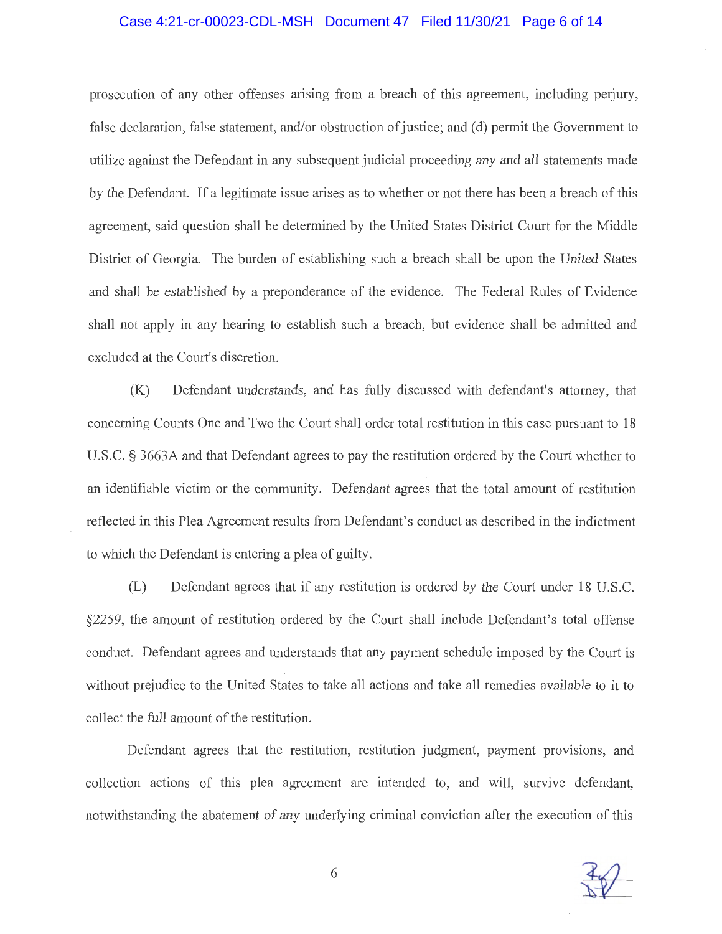#### Case 4:21-cr-00023-CDL-MSH Document 47 Filed 11/30/21 Page 6 of 14

prosecution of any other offenses arising from a breach of this agreement, including perjury, false declaration, false statement, and/or obstruction of justice; and (d) permit the Government to utilize against the Defendant in any subsequent judicial proceeding any and all statements made by the Defendant. If a legitimate issue arises as to whether or not there has been a breach of this agreement, said question shall be determined by the United States District Court for the Middle District of Georgia. The burden of establishing such a breach shall be upon the United States and shall be established by a preponderance of the evidence. The Federal Rules of Evidence shall not apply in any hearing to establish such a breach, but evidence shall be admitted and excluded at the Court's discretion.

(K) Defendant understands, and has fully discussed with defendant's attorney, that concerning Counts One and Two the Court shall order total restitution in this case pursuant to 18 U.S.C. § 3663A and that Defendant agrees to pay the restitution ordered by the Court whether to an identifiable victim or the community. Defendant agrees that the total amount of restitution reflected in this Plea Agreement results from Defendant's conduct as described in the indictment to which the Defendant is entering a plea of guilty.

(L) Defendant agrees that if any restitution is ordered by the Court under 18 U.S.C. §2259, the amount of restitution ordered by the Court shall include Defendant's total offense conduct. Defendant agrees and understands that any payment schedule imposed by the Court is without prejudice to the United States to take all actions and take all remedies available to it to collect the full amount of the restitution.

Defendant agrees that the restitution, restitution judgment, payment provisions, and collection actions of this plea agreement are intended to, and will, survive defendant, notwithstanding the abatement of any underlying criminal conviction after the execution of this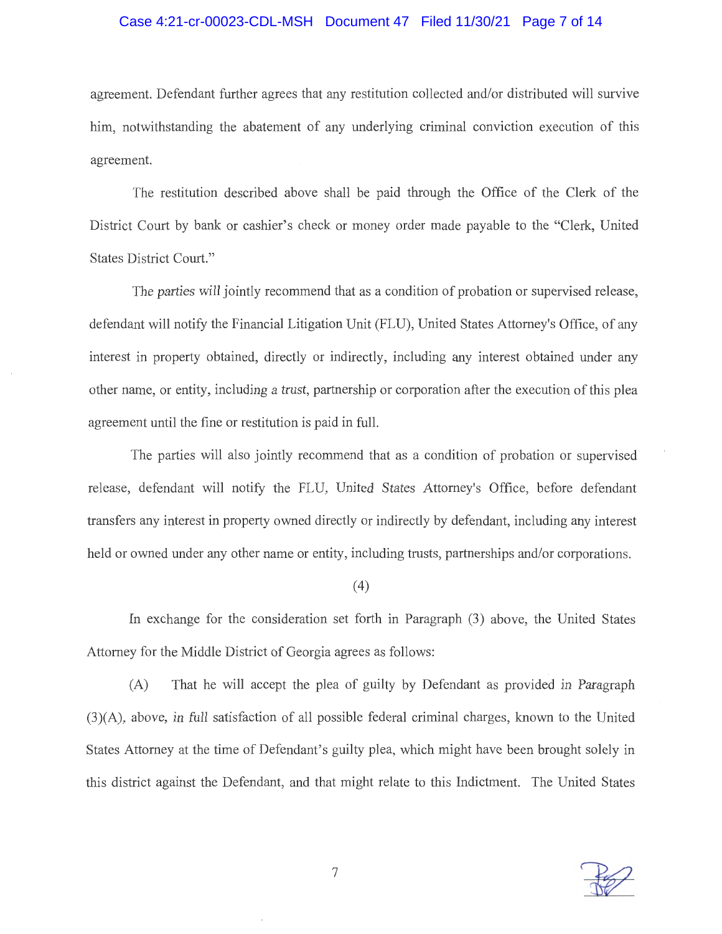#### Case 4:21-cr-00023-CDL-MSH Document 47 Filed 11/30/21 Page 7 of 14

agreement. Defendant further agrees that any restitution collected and/or distributed will survive him, notwithstanding the abatement of any underlying criminal conviction execution of this agreement.

The restitution described above shall be paid through the Office of the Clerk of the District Court by bank or cashier's check or money order made payable to the "Clerk, United States District Court."

The parties will jointly recommend that as a condition of probation or supervised release, defendant will notify the Financial Litigation Unit (FLU), United States Attorney's Office, of any interest in property obtained, directly or indirectly, including any interest obtained under any other name, or entity, including a trust, partnership or corporation after the execution of this plea agreement until the fine or restitution is paid in full.

The parties will also jointly recommend that as a condition of probation or supervised release, defendant will notify the FLU, United States Attorney's Office, before defendant transfers any interest in property owned directly or indirectly by defendant, including any interest held or owned under any other name or entity, including trusts, partnerships and/or corporations.

#### (4)

In exchange for the consideration set forth in Paragraph (3) above, the United States Attorney for the Middle District of Georgia agrees as follows:

(A) That he will accept the plea of guilty by Defendant as provided in Paragraph (3)(A), above, in full satisfaction of all possible federal criminal charges, known to the United States Attorney at the time of Defendant's guilty plea, which might have been brought solely in this district against the Defendant, and that might relate to this Indictment. The United States

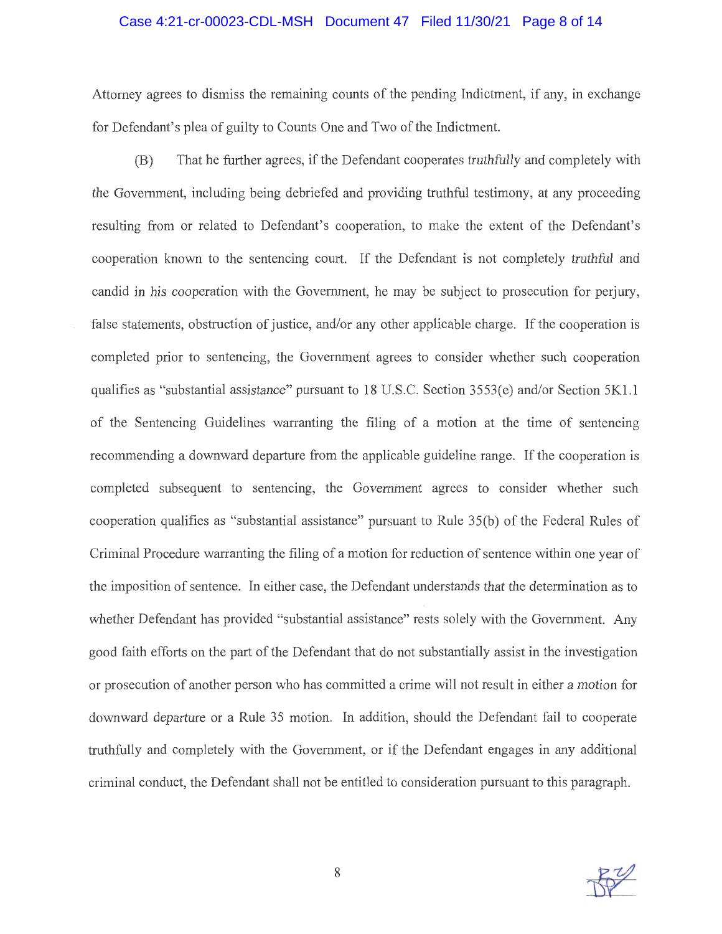#### Case 4:21-cr-00023-CDL-MSH Document 47 Filed 11/30/21 Page 8 of 14

Attorney agrees to dismiss the remaining counts of the pending Indictment, if any, in exchange for Defendant's plea of guilty to Counts One and Two of the Indictment.

(B) That he further agrees, if the Defendant cooperates truthfully and completely with the Government, including being debriefed and providing truthful testimony, at any proceeding resulting from or related to Defendant's cooperation, to make the extent of the Defendant's cooperation known to the sentencing court. If the Defendant is not completely truthful and candid in his cooperation with the Government, he may be subject to prosecution for perjury, false statements, obstruction of justice, and/or any other applicable charge. If the cooperation is completed prior to sentencing, the Government agrees to consider whether such cooperation qualifies as "substantial assistance" pursuant to 18 U.S.C. Section 3553(e) and/or Section 5Kl.1 of the Sentencing Guidelines warranting the filing of a motion at the time of sentencing recommending a downward departure from the applicable guideline range. If the cooperation is completed subsequent to sentencing, the Government agrees to consider whether such cooperation qualifies as "substantial assistance" pursuant to Rule 35(b) of the Federal Rules of Criminal Procedure warranting the filing of a motion for reduction of sentence within one year of the imposition of sentence. In either case, the Defendant understands that the determination as to whether Defendant has provided "substantial assistance" rests solely with the Government. Any good faith efforts on the part of the Defendant that do not substantially assist in the investigation or prosecution of another person who has committed a crime will not result in either a motion for downward departure or a Rule 35 motion. In addition, should the Defendant fail to cooperate truthfully and completely with the Government, or if the Defendant engages in any additional criminal conduct, the Defendant shall not be entitled to consideration pursuant to this paragraph.

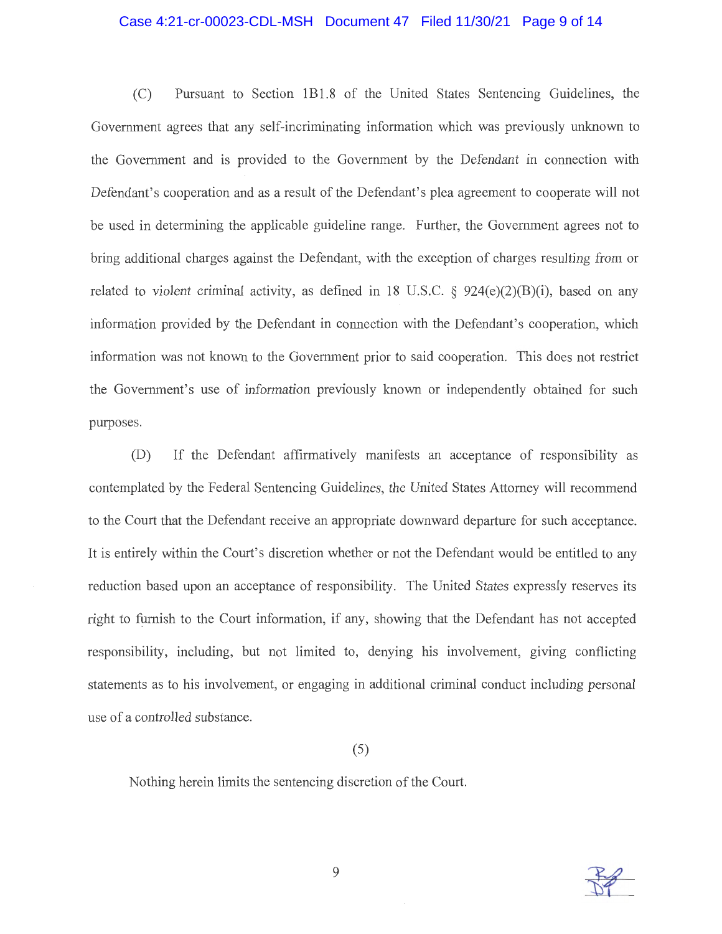#### Case 4:21-cr-00023-CDL-MSH Document 47 Filed 11/30/21 Page 9 of 14

(C) Pursuant to Section lBl.8 of the United States Sentencing Guidelines, the Government agrees that any self-incriminating information which was previously unknown to the Government and is provided to the Government by the Defendant in connection with Defendant's cooperation and as a result of the Defendant's plea agreement to cooperate will not be used in determining the applicable guideline range. Further, the Government agrees not to bring additional charges against the Defendant, with the exception of charges resulting from or related to violent criminal activity, as defined in 18 U.S.C.  $\S$  924(e)(2)(B)(i), based on any information provided by the Defendant in connection with the Defendant's cooperation, which information was not known to the Government prior to said cooperation. This does not restrict the Government's use of information previously known or independently obtained for such purposes.

(D) If the Defendant affirmatively manifests an acceptance of responsibility as contemplated by the Federal Sentencing Guidelines, the United States Attorney will recommend to the Court that the Defendant receive an appropriate downward departure for such acceptance. It is entirely within the Court's discretion whether or not the Defendant would be entitled to any reduction based upon an acceptance of responsibility. The United States expressly reserves its right to furnish to the Court information, if any, showing that the Defendant has not accepted responsibility, including, but not limited to, denying his involvement, giving conflicting statements as to his involvement, or engaging in additional criminal conduct including personal use of a controlled substance.

(5)

Nothing herein limits the sentencing discretion of the Court.

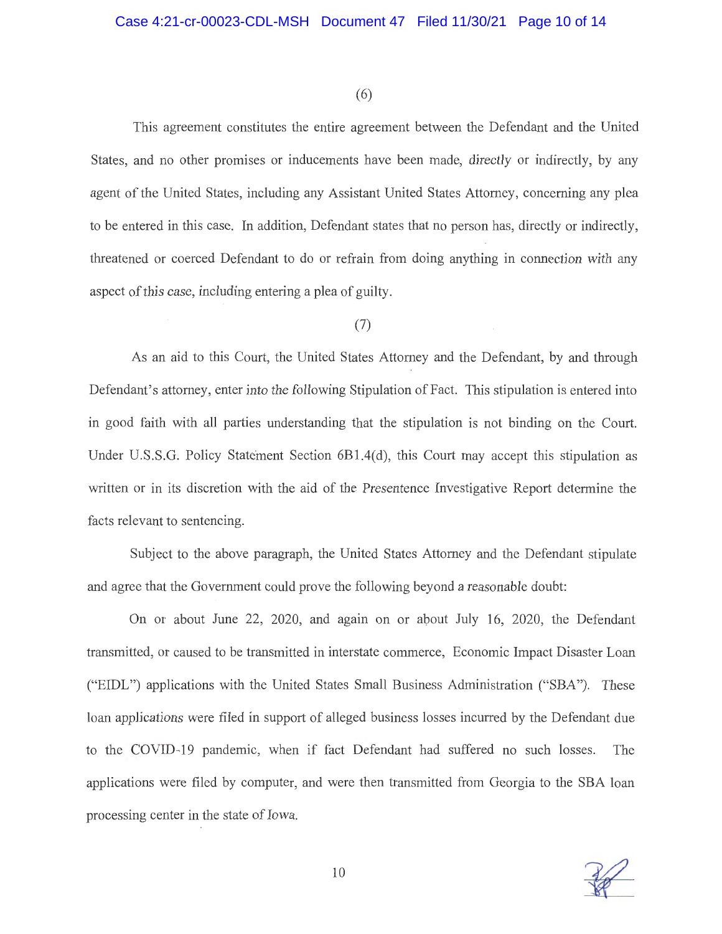(6)

This agreement constitutes the entire agreement between the Defendant and the United States, and no other promises or inducements have been made, directly or indirectly, by any agent of the United States, including any Assistant United States Attorney, concerning any plea to be entered in this case. In addition, Defendant states that no person has, directly or indirectly, threatened or coerced Defendant to do or refrain from doing anything in connection with any aspect of this case, including entering a plea of guilty.

### (7)

As an aid to this Court, the United States Attorney and the Defendant, by and through Defendant's attorney, enter into the following Stipulation of Fact. This stipulation is entered into in good faith with all parties understanding that the stipulation is not binding on the Court. Under U.S.S.G. Policy Statement Section 6Bl.4(d), this Court may accept this stipulation as written or in its discretion with the aid of the Presentence Investigative Report determine the facts relevant to sentencing.

Subject to the above paragraph, the United States Attorney and the Defendant stipulate and agree that the Government could prove the following beyond a reasonable doubt:

On or about June 22, 2020, and again on or about July 16, 2020, the Defendant transmitted, or caused to be transmitted in interstate commerce, Economic Impact Disaster Loan ("EIDL") applications with the United States Small Business Administration ("SBA"). These loan applications were filed in support of alleged business losses incurred by the Defendant due to the COVID-19 pandemic, when if fact Defendant had suffered no such losses. The applications were filed by computer, and were then transmitted from Georgia to the SBA loan processing center in the state of Iowa.

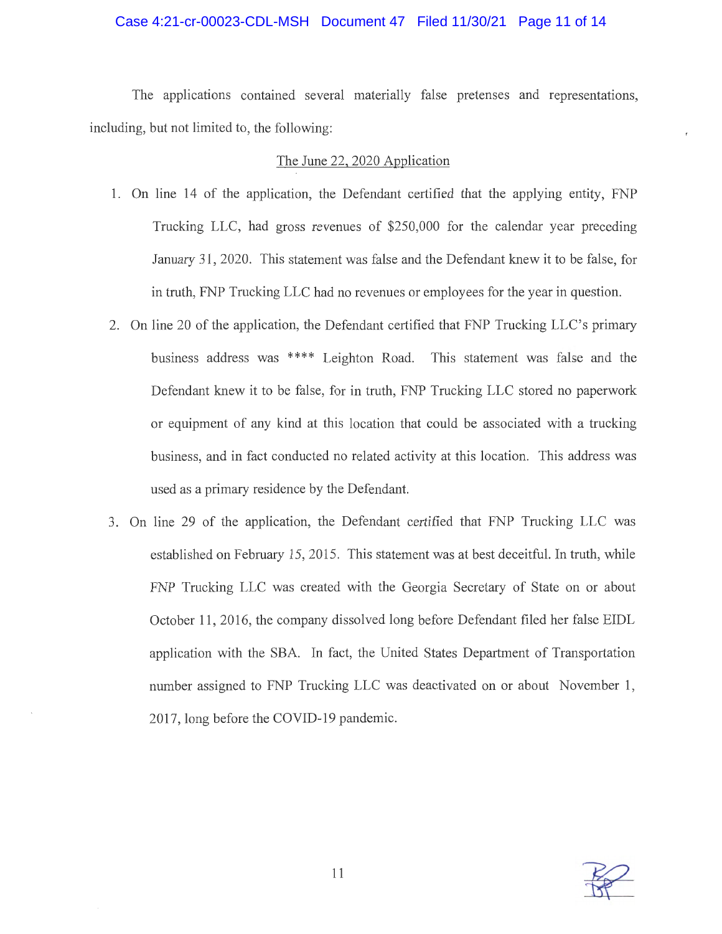## Case 4:21-cr-00023-CDL-MSH Document 47 Filed 11/30/21 Page 11 of 14

The applications contained several materially false pretenses and representations, including, but not limited to, the following:

#### The June 22, 2020 Application

- 1. On line 14 of the application, the Defendant certified that the applying entity, FNP Trucking LLC, had gross revenues of \$250,000 for the calendar year preceding January 31, 2020. This statement was false and the Defendant knew it to be false, for in truth, FNP Trucking LLC had no revenues or employees for the year in question.
- 2. On line 20 of the application, the Defendant certified that FNP Trucking LLC's primary business address was \*\*\*\* Leighton Road. This statement was false and the Defendant knew it to be false, for in truth, FNP Trucking LLC stored no paperwork or equipment of any kind at this location that could be associated with a trucking business, and in fact conducted no related activity at this location. This address was used as a primary residence by the Defendant.
- 3. On line 29 of the application, the Defendant certified that FNP Trucking LLC was established on February 15, 2015. This statement was at best deceitful. In truth, while FNP Trucking LLC was created with the Georgia Secretary of State on or about October 11, 2016, the company dissolved long before Defendant filed her false EIDL application with the SBA. In fact, the United States Department of Transportation number assigned to FNP Trucking LLC was deactivated on or about November 1, 2017, long before the COVID-19 pandemic.

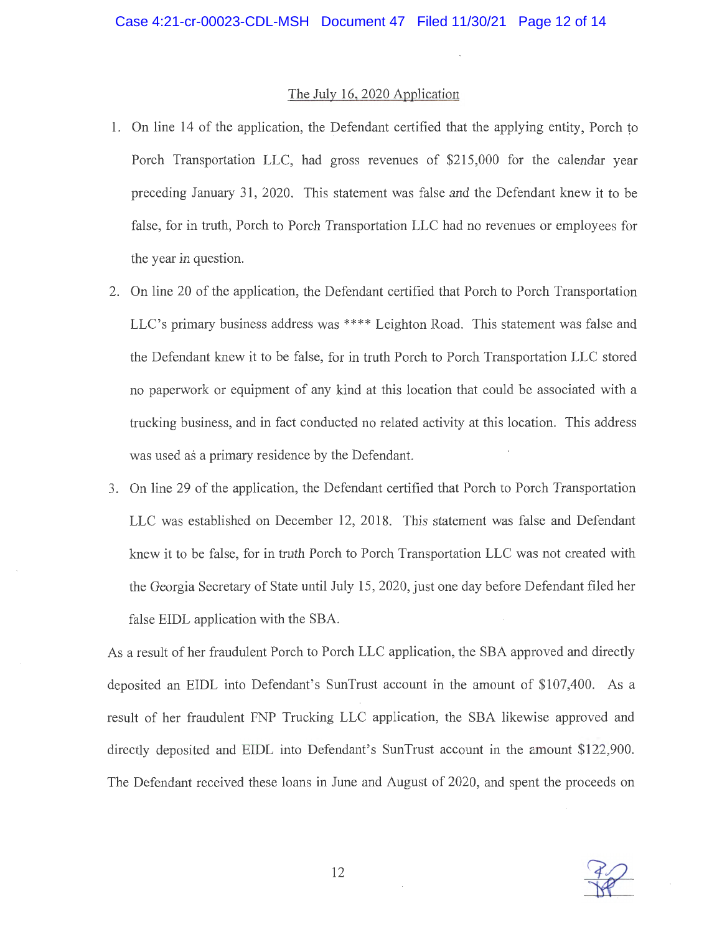#### The July 16, 2020 Application

- 1. On line 14 of the application, the Defendant certified that the applying entity, Porch to Porch Transportation LLC, had gross revenues of \$215,000 for the calendar year preceding January 31, 2020. This statement was false and the Defendant knew it to be false, for in truth, Porch to Porch Transportation LLC had no revenues or employees for the year in question.
- 2. On line 20 of the application, the Defendant certified that Porch to Porch Transportation LLC's primary business address was \*\*\*\* Leighton Road. This statement was false and the Defendant knew it to be false, for in truth Porch to Porch Transportation LLC stored no paperwork or equipment of any kind at this location that could be associated with a trucking business, and in fact conducted no related activity at this location. This address was used as a primary residence by the Defendant.
- 3. On line 29 of the application, the Defendant certified that Porch to Porch Transportation LLC was established on December 12, 2018. This statement was false and Defendant knew it to be false, for in truth Porch to Porch Transportation LLC was not created with the Georgia Secretary of State until July 15, 2020, just one day before Defendant filed her false EIDL application with the SBA.

As a result of her fraudulent Porch to Porch LLC application, the SBA approved and directly deposited an EIDL into Defendant's SunTrust account in the amount of \$107,400. As a result of her fraudulent FNP Trucking LLC application, the SBA likewise approved and directly deposited and EIDL into Defendant's SunTrust account in the amount \$122,900. The Defendant received these loans in June and August of 2020, and spent the proceeds on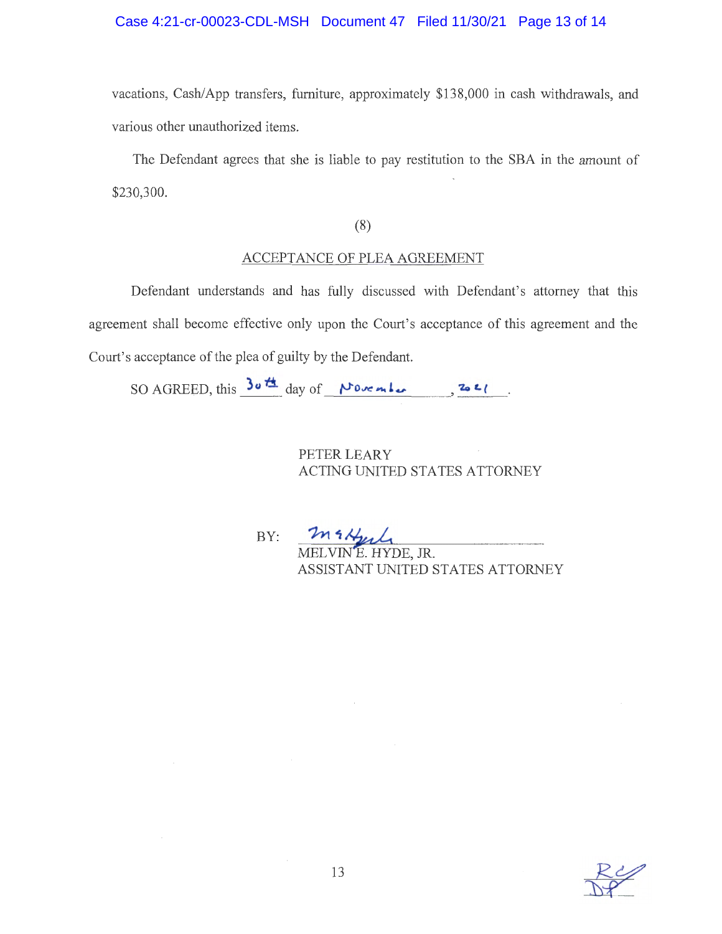# Case 4:21-cr-00023-CDL-MSH Document 47 Filed 11/30/21 Page 13 of 14

vacations, Cash/App transfers, furniture, approximately \$138,000 in cash withdrawals, and various other unauthorized items.

The Defendant agrees that she is liable to pay restitution to the SBA in the amount of \$230,300.

(8)

## ACCEPTANCE OF PLEA AGREEMENT

Defendant understands and has fully discussed with Defendant's attorney that this agreement shall become effective only upon the Court's acceptance of this agreement and the Court's acceptance of the plea of guilty by the Defendant.

SO AGREED, this  $30\text{ A}$  day of  $\sqrt{V}$  we mbe  $\frac{254}{1}$ .

PETER LEARY ACTING UNITED STATES ATTORNEY

BY: m & Hyple

ASSISTANT UNITED STATES ATTORNEY